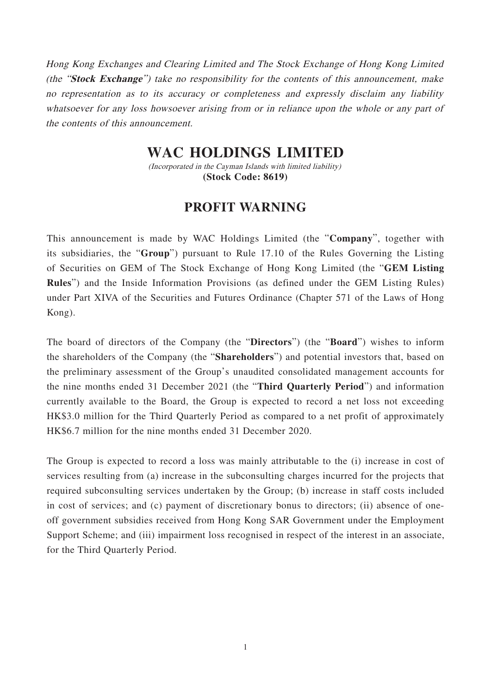Hong Kong Exchanges and Clearing Limited and The Stock Exchange of Hong Kong Limited (the "**Stock Exchange**") take no responsibility for the contents of this announcement, make no representation as to its accuracy or completeness and expressly disclaim any liability whatsoever for any loss howsoever arising from or in reliance upon the whole or any part of the contents of this announcement.

## **WAC HOLDINGS LIMITED**

(Incorporated in the Cayman Islands with limited liability) **(Stock Code: 8619)**

## **PROFIT WARNING**

This announcement is made by WAC Holdings Limited (the "**Company**", together with its subsidiaries, the "**Group**") pursuant to Rule 17.10 of the Rules Governing the Listing of Securities on GEM of The Stock Exchange of Hong Kong Limited (the "**GEM Listing Rules**") and the Inside Information Provisions (as defined under the GEM Listing Rules) under Part XIVA of the Securities and Futures Ordinance (Chapter 571 of the Laws of Hong Kong).

The board of directors of the Company (the "**Directors**") (the "**Board**") wishes to inform the shareholders of the Company (the "**Shareholders**") and potential investors that, based on the preliminary assessment of the Group's unaudited consolidated management accounts for the nine months ended 31 December 2021 (the "**Third Quarterly Period**") and information currently available to the Board, the Group is expected to record a net loss not exceeding HK\$3.0 million for the Third Quarterly Period as compared to a net profit of approximately HK\$6.7 million for the nine months ended 31 December 2020.

The Group is expected to record a loss was mainly attributable to the (i) increase in cost of services resulting from (a) increase in the subconsulting charges incurred for the projects that required subconsulting services undertaken by the Group; (b) increase in staff costs included in cost of services; and (c) payment of discretionary bonus to directors; (ii) absence of oneoff government subsidies received from Hong Kong SAR Government under the Employment Support Scheme; and (iii) impairment loss recognised in respect of the interest in an associate, for the Third Quarterly Period.